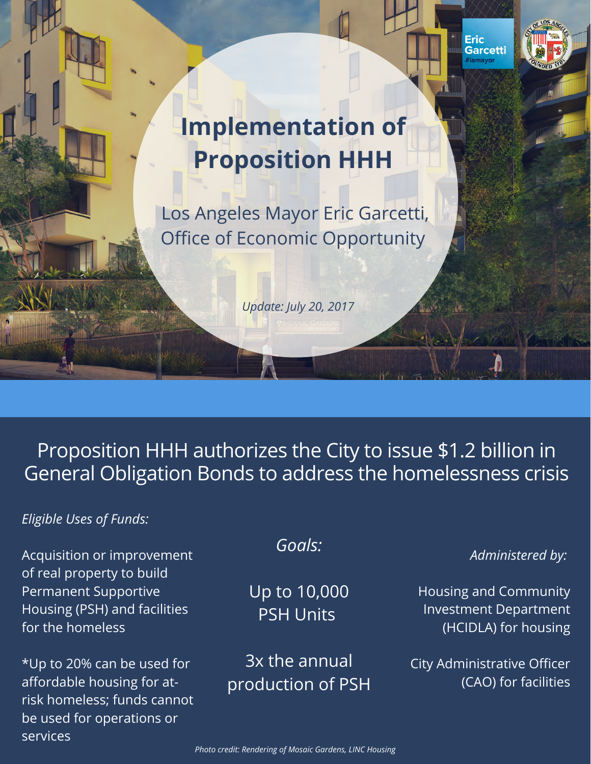



# **Implementation of Proposition HHH**

Los Angeles Mayor Eric Garcetti, Office of Economic Opportunity

*Update: July 20, 2017*

### Proposition HHH authorizes the City to issue \$1.2 billion in General Obligation Bonds to address the homelessness crisis

### *Eligible Uses of Funds:*

Acquisition or improvement of real property to build Permanent Supportive Housing (PSH) and facilities for the homeless

\*Up to 20% can be used for affordable housing for atrisk homeless; funds cannot be used for operations or services

### *Goals:*

Up to 10,000 PSH Units

3x the annual production of PSH

### *Administered by:*

Housing and Community Investment Department (HCIDLA) for housing

City Administrative Officer (CAO) for facilities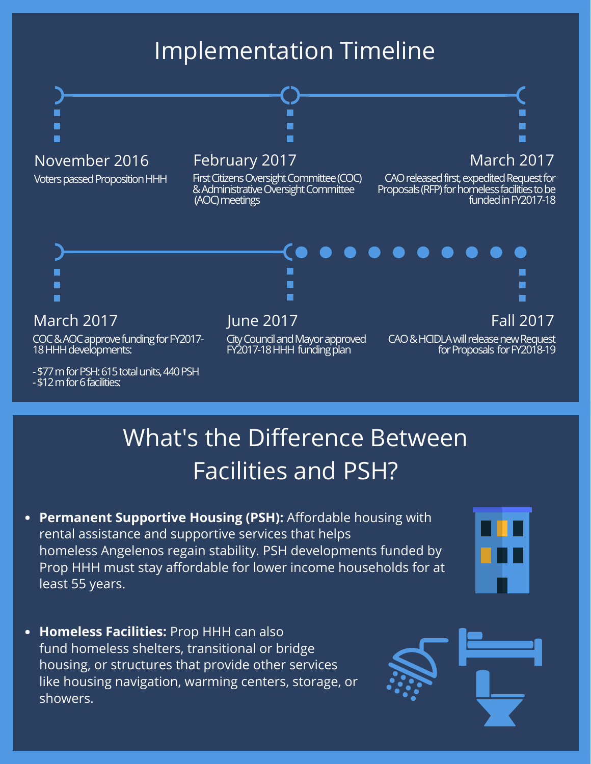### Implementation Timeline



- \$77 m for PSH: 615 total units, 440 PSH - \$12 m for 6 facilities:

# What's the Difference Between Facilities and PSH?

**Permanent Supportive Housing (PSH):** Affordable housing with rental assistance and supportive services that helps homeless Angelenos regain stability. PSH developments funded by Prop HHH must stay affordable for lower income households for at least 55 years.



**Homeless Facilities:** Prop HHH can also fund homeless shelters, transitional or bridge housing, or structures that provide other services like housing navigation, warming centers, storage, or showers.